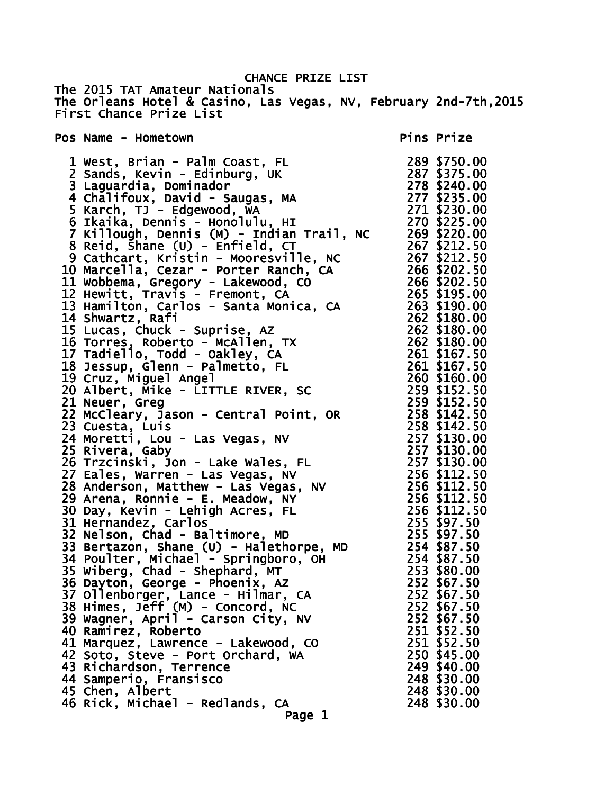## CHANCE PRIZE LIST

The 2015 TAT Amateur Nationals The Orleans Hotel & Casino, Las Vegas, NV, February 2nd-7th,2015 First Chance Prize List

Pos Name - Hometown entry the pins Prize

| 1 West, Brian - Palm Coast, FL                                                                                                                                                                                                                | 289 \$750.00                                                                 |
|-----------------------------------------------------------------------------------------------------------------------------------------------------------------------------------------------------------------------------------------------|------------------------------------------------------------------------------|
| 2 Sands, Kevin - Edinburg, UK                                                                                                                                                                                                                 | 287 \$375.00                                                                 |
| 3 Laguardia, Dominador                                                                                                                                                                                                                        | 278 \$240.00                                                                 |
| 4 Chalifoux, David - Saugas, MA                                                                                                                                                                                                               | 277 \$235.00                                                                 |
| 5 Karch, TJ - Edgewood, WA                                                                                                                                                                                                                    | 271 \$230.00                                                                 |
| 6 Ikaika, Dennis - Honolulu, HI                                                                                                                                                                                                               | 270 \$225.00                                                                 |
|                                                                                                                                                                                                                                               | 269 \$220.00                                                                 |
| 7 Killough, Dennis (M) - Indian Trail, NC<br>8 Reid, Shane (U) - Enfield, CT                                                                                                                                                                  | 267 \$212.50                                                                 |
|                                                                                                                                                                                                                                               |                                                                              |
| 9 Cathcart, Kristin - Mooresville, NC                                                                                                                                                                                                         | 267 \$212.50                                                                 |
| 10 Marcella, Cezar - Porter Ranch, CA                                                                                                                                                                                                         | 266 \$202.50<br>266 \$202.50                                                 |
| 11 Wobbema, Gregory - Lakewood, CO                                                                                                                                                                                                            |                                                                              |
| 12 Hewitt, Travis - Fremont, CA                                                                                                                                                                                                               |                                                                              |
| 13 Hamilton, Carlos - Santa Monica, CA                                                                                                                                                                                                        |                                                                              |
| 14 Shwartz, Rafi                                                                                                                                                                                                                              | 265 \$195.00<br>263 \$190.00<br>262 \$180.00<br>262 \$180.00<br>262 \$180.00 |
| 15 Lucas, Chuck - Suprise, AZ                                                                                                                                                                                                                 |                                                                              |
| 16 Torres, Roberto - McAllen, TX                                                                                                                                                                                                              |                                                                              |
| 17 Tadiello, Todd - Oakley, CA                                                                                                                                                                                                                | 261 \$167.50                                                                 |
| 18 Jessup, Glenn - Palmetto, FL                                                                                                                                                                                                               | 261 \$167.50                                                                 |
| 19 Cruz, Miguel Angel                                                                                                                                                                                                                         |                                                                              |
| 19 Cruz, Miguel Angel<br>20 Albert, Mike - LITTLE RIVER, SC<br>21 Novem, Mike - LITTLE RIVER, SC                                                                                                                                              |                                                                              |
| 21 Neuer, Greg                                                                                                                                                                                                                                | 260 \$160.00<br>259 \$152.50<br>259 \$152.50                                 |
| 22 McCleary, Jason - Central Point, OR                                                                                                                                                                                                        | 258 \$142.50                                                                 |
| 23 Cuesta, Luis                                                                                                                                                                                                                               | 258 \$142.50                                                                 |
| 24 Moretti, Lou - Las Vegas, NV                                                                                                                                                                                                               | 258 \$142.50<br>257 \$130.00<br>257 \$130.00<br>257 \$130.00                 |
| 25 Rivera, Gaby                                                                                                                                                                                                                               |                                                                              |
| 26 Trzcinski, Jon - Lake Wales, FL                                                                                                                                                                                                            |                                                                              |
|                                                                                                                                                                                                                                               |                                                                              |
|                                                                                                                                                                                                                                               |                                                                              |
|                                                                                                                                                                                                                                               |                                                                              |
| 2. Early, warren - Las Vegas, NV<br>28 Anderson, Matthew - Las Vegas, NV<br>29 Arena, Ronnie - E. Meadow, NY<br>30 Day, Kevin - Lehigh Acres, FL<br>31 Hernandez, Carlos<br>256 \$112.50<br>32 Nelson, Chad - Baltimore, MD<br>22 Partinum of |                                                                              |
|                                                                                                                                                                                                                                               |                                                                              |
|                                                                                                                                                                                                                                               |                                                                              |
| 33 Bertazon, Shane (U) - Halethorpe, MD $254$ $387.50$                                                                                                                                                                                        |                                                                              |
|                                                                                                                                                                                                                                               | 254 \$87.50                                                                  |
| 34 Poulter, Michael - Springboro, OH                                                                                                                                                                                                          |                                                                              |
| 35 Wiberg, Chad - Shephard, MT                                                                                                                                                                                                                | 253 \$80.00                                                                  |
| 36 Dayton, George - Phoenix, AZ                                                                                                                                                                                                               | 252 \$67.50                                                                  |
| 37 Ollenborger, Lance - Hilmar, CA                                                                                                                                                                                                            | 252 \$67.50                                                                  |
| 38 Himes, Jeff (M) - Concord, NC                                                                                                                                                                                                              | 252 \$67.50                                                                  |
| 39 Wagner, April - Carson City, NV                                                                                                                                                                                                            | 252 \$67.50                                                                  |
| 40 Ramirez, Roberto                                                                                                                                                                                                                           | 251 \$52.50                                                                  |
| 41 Marquez, Lawrence - Lakewood, CO                                                                                                                                                                                                           | 251 \$52.50                                                                  |
| 42 Soto, Steve - Port Orchard, WA                                                                                                                                                                                                             | 250 \$45.00<br>249 \$40.00<br>248 \$30.00                                    |
| 43 Richardson, Terrence                                                                                                                                                                                                                       |                                                                              |
| 44 Samperio, Fransisco                                                                                                                                                                                                                        |                                                                              |
| 45 Chen, Albert                                                                                                                                                                                                                               | 248 \$30.00                                                                  |
| 46 Rick, Michael - Redlands, CA                                                                                                                                                                                                               | 248 \$30.00                                                                  |
| Page 1                                                                                                                                                                                                                                        |                                                                              |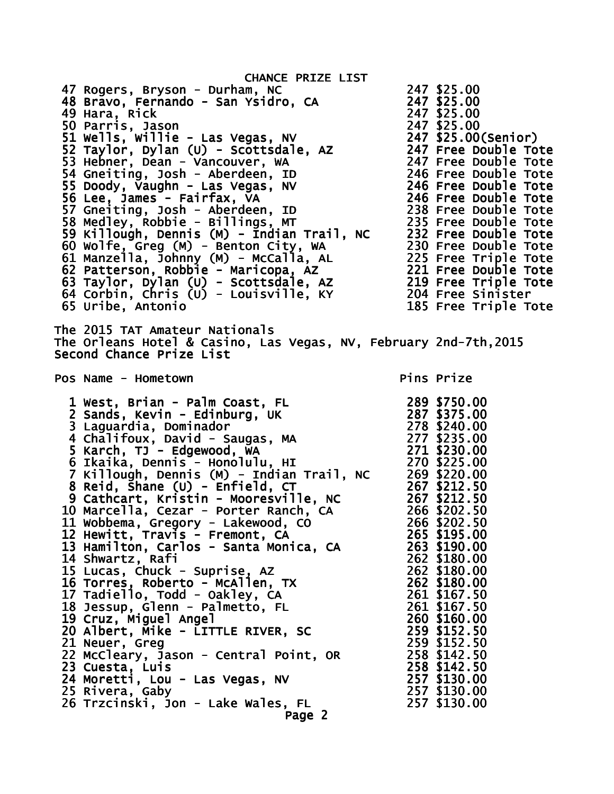CHANCE PRIZE LIST 47 Rogers, Bryson - Durham, NC<br>48 Bravo, Fernando - San Ysidro, CA 247 \$25.00<br>247 \$25.00 48 Bravo, Fernando - San Ysidro, CA 247 \$25.00 49 Hara, Rick 247 \$25.00 50 Parris, Jason 247 \$25.00 51 Wells, Willie - Las Vegas, NV 247 \$25.00(Senior) 52 Taylor, Dylan (U) - Scottsdale, AZ 247 Free Double Tote 53 Hebner, Dean - Vancouver, WA 247 Free Double Tote 54 Gneiting, Josh - Aberdeen, ID 246 Free Double Tote 55 Doody, Vaughn - Las Vegas, NV 246 Free Double Tote 56 Lee, James - Fairfax, VA 246 Free Double Tote 57 Gneiting, Josh - Aberdeen, ID 238 Free Double Tote 58 Medley, Robbie - Billings, MT 235 Free Double Tote 59 Killough, Dennis (M) - Indian Trail, NC 232 Free Double Tote 60 Wolfe, Greg (M) - Benton City, WA 230 Free Double Tote 61 Manzella, Johnny (M) - McCalla, AL 225 Free Triple Tote 62 Patterson, Robbie - Maricopa, AZ 221 Free Double Tote 63 Taylor, Dylan (U) - Scottsdale, AZ 219 Free Triple Tote 64 Corbin, Chris (U) - Louisville, KY 204 Free Sinister 65 Uribe, Antonio 185 Free Triple Tote The 2015 TAT Amateur Nationals The Orleans Hotel & Casino, Las Vegas, NV, February 2nd-7th,2015 Second Chance Prize List Pos Name - Hometown **Pins Prize**  1 West, Brian - Palm Coast, FL 289 \$750.00 2 Sands, Kevin - Edinburg, UK 287 \$375.00 1 West, Brian - Palm Coast, FL<br>
2 Sands, Kevin - Edinburg, UK<br>
3 Laguardia, Dominador<br>
4 Chalifoux, David - Saugas, MA<br>
5 Karch, TJ - Edgewood, WA<br>
277 \$235.00<br>
271 \$230.00<br>
271 \$230.00 4 Chalifoux, David - Saugas, MA 277 \$235.00 5 Karch, TJ - Edgewood, WA 271 \$230.00 6 Ikaika, Dennis - Honolulu, HI 270 \$225.00 7 Killough, Dennis (M) - Indian Trail, NC 269 \$220.00 8 Reid, Shane (U) - Enfield, CT 267 \$212.50 9 Cathcart, Kristin - Mooresville, NC 267 \$212.50 10 Marcella, Cezar - Porter Ranch, CA 266 \$202.50 11 Wobbema, Gregory - Lakewood, CO 266 \$202.50 12 Hewitt, Travis - Fremont, CA 265 \$195.00 13 Hamilton, Carlos - Santa Monica, CA 263 \$190.00 14 Shwartz, Rafi 262 \$180.00 15 Lucas, Chuck - Suprise, AZ 262 \$180.00 16 Torres, Roberto - McAllen, TX 262 \$180.00 17 Tadiello, Todd - Oakley, CA 261 \$167.50 18 Jessup, Glenn - Palmetto, FL 261 \$167.50 19 Cruz, Miguel Angel 260 \$160.00 20 Albert, Mike - LITTLE RIVER, SC 259 \$152.50 21 Neuer, Greg 259 \$152.50 22 McCleary, Jason - Central Point, OR 258 \$142.50 23 Cuesta, Luis 258 \$142.50 24 Moretti, Lou - Las Vegas, NV 257 \$130.00 25 Rivera, Gaby 257 \$130.00 26 Trzcinski, Jon - Lake Wales, FL 257 \$130.00 Page 2